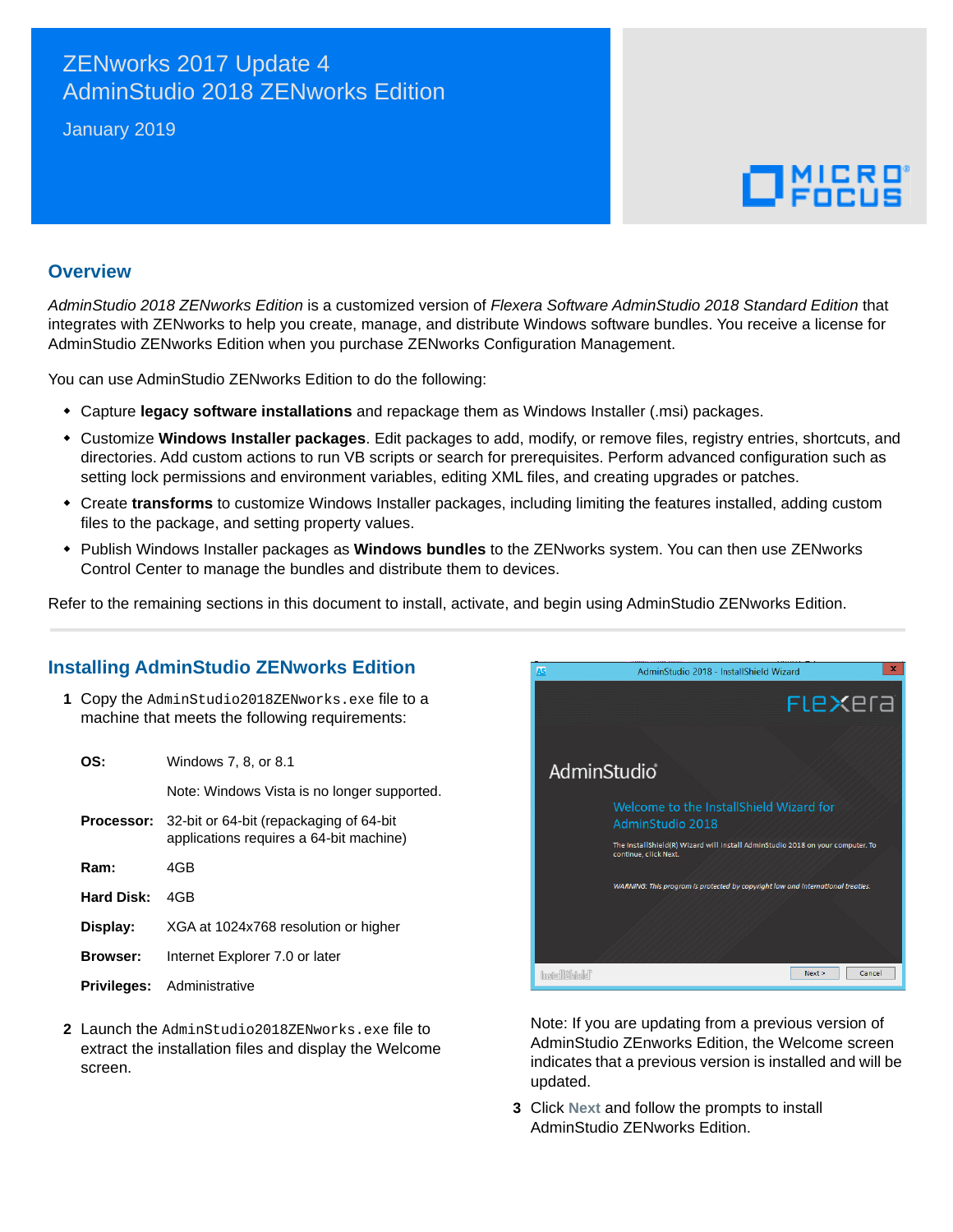## ZENworks 2017 Update 4 AdminStudio 2018 ZENworks Edition

January 2019

# $\Box$ MICRO

#### **Overview**

*AdminStudio 2018 ZENworks Edition* is a customized version of *Flexera Software AdminStudio 2018 Standard Edition* that integrates with ZENworks to help you create, manage, and distribute Windows software bundles. You receive a license for AdminStudio ZENworks Edition when you purchase ZENworks Configuration Management.

You can use AdminStudio ZENworks Edition to do the following:

- Capture **legacy software installations** and repackage them as Windows Installer (.msi) packages.
- Customize **Windows Installer packages**. Edit packages to add, modify, or remove files, registry entries, shortcuts, and directories. Add custom actions to run VB scripts or search for prerequisites. Perform advanced configuration such as setting lock permissions and environment variables, editing XML files, and creating upgrades or patches.
- Create **transforms** to customize Windows Installer packages, including limiting the features installed, adding custom files to the package, and setting property values.
- Publish Windows Installer packages as **Windows bundles** to the ZENworks system. You can then use ZENworks Control Center to manage the bundles and distribute them to devices.

Refer to the remaining sections in this document to install, activate, and begin using AdminStudio ZENworks Edition.

#### **Installing AdminStudio ZENworks Edition**

**1** Copy the AdminStudio2018ZENworks.exe file to a machine that meets the following requirements:

| ns∙             | Windows 7, 8, or 8.1                                                               |  |
|-----------------|------------------------------------------------------------------------------------|--|
|                 | Note: Windows Vista is no longer supported.                                        |  |
| Processor:      | 32-bit or 64-bit (repackaging of 64-bit<br>applications requires a 64-bit machine) |  |
| Ram:            | 4GB                                                                                |  |
| Hard Disk:      | 4GB                                                                                |  |
| Display:        | XGA at 1024x768 resolution or higher                                               |  |
| <b>Browser:</b> | Internet Explorer 7.0 or later                                                     |  |
| Privileges:     | Administrative                                                                     |  |

**2** Launch the AdminStudio2018ZENworks.exe file to extract the installation files and display the Welcome screen.



Note: If you are updating from a previous version of AdminStudio ZEnworks Edition, the Welcome screen indicates that a previous version is installed and will be updated.

**3** Click **Next** and follow the prompts to install AdminStudio ZENworks Edition.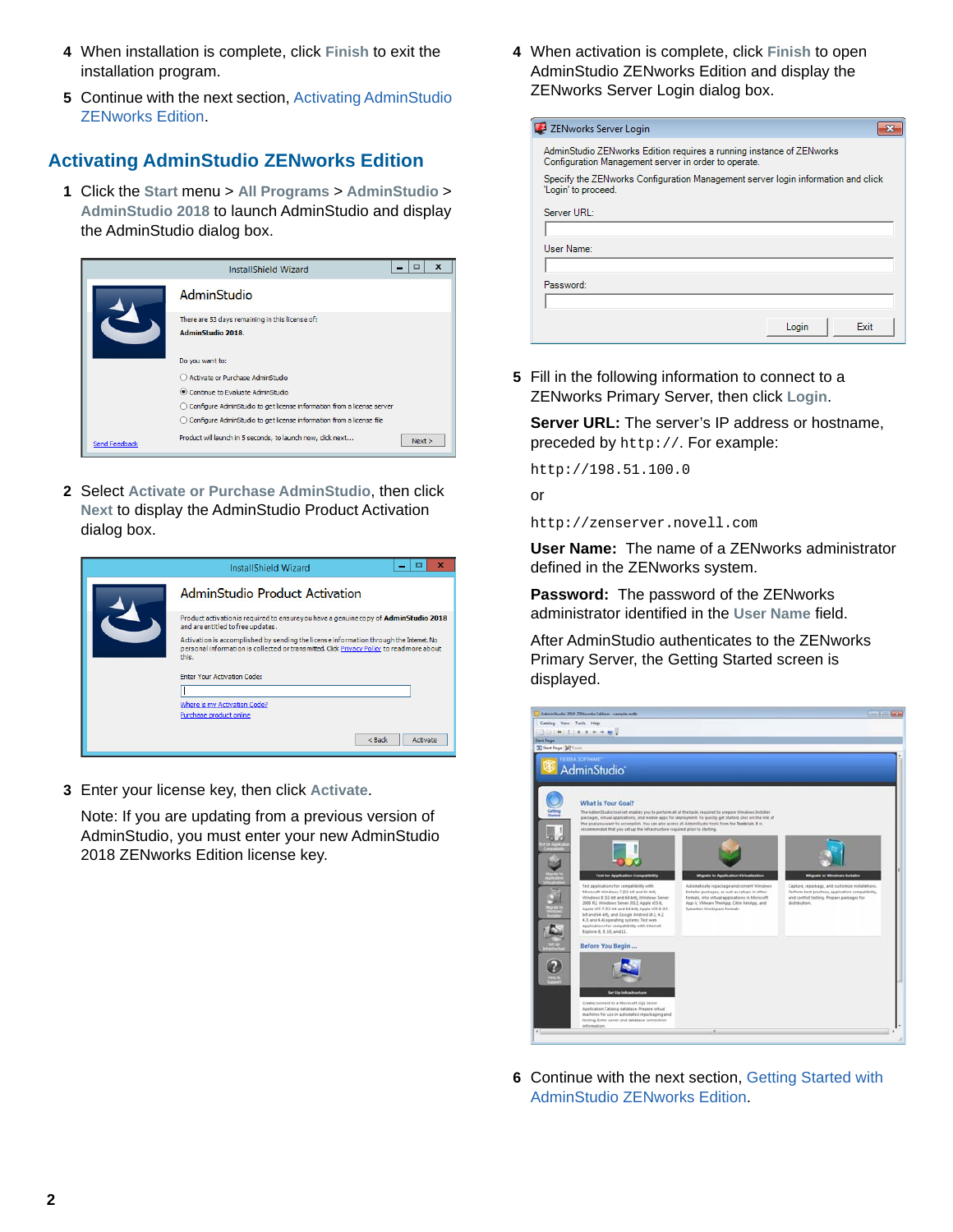- **4** When installation is complete, click **Finish** to exit the installation program.
- **5** Continue with the next section, [Activating AdminStudio](#page-1-0)  [ZENworks Edition](#page-1-0).

## <span id="page-1-0"></span>**Activating AdminStudio ZENworks Edition**

**1** Click the **Start** menu > **All Programs** > **AdminStudio** > **AdminStudio 2018** to launch AdminStudio and display the AdminStudio dialog box.



**2** Select **Activate or Purchase AdminStudio**, then click **Next** to display the AdminStudio Product Activation dialog box.



**3** Enter your license key, then click **Activate**.

Note: If you are updating from a previous version of AdminStudio, you must enter your new AdminStudio 2018 ZENworks Edition license key.

**4** When activation is complete, click **Finish** to open AdminStudio ZENworks Edition and display the ZENworks Server Login dialog box.

| ZENworks Server Login                                                                                                        |  |
|------------------------------------------------------------------------------------------------------------------------------|--|
| AdminStudio ZENworks Edition requires a running instance of ZENworks<br>Configuration Management server in order to operate. |  |
| Specify the ZENworks Configuration Management server login information and click<br>'Login' to proceed.                      |  |
| Server URL:                                                                                                                  |  |
|                                                                                                                              |  |
| User Name:                                                                                                                   |  |
|                                                                                                                              |  |
| Password:                                                                                                                    |  |
|                                                                                                                              |  |
| <b>Fxit</b><br>Login                                                                                                         |  |

**5** Fill in the following information to connect to a ZENworks Primary Server, then click **Login**.

**Server URL:** The server's IP address or hostname, preceded by http://. For example:

http://198.51.100.0

or

http://zenserver.novell.com

**User Name:** The name of a ZENworks administrator defined in the ZENworks system.

**Password:** The password of the ZENworks administrator identified in the **User Name** field.

After AdminStudio authenticates to the ZENworks Primary Server, the Getting Started screen is displayed.



**6** Continue with the next section, [Getting Started with](#page-2-0)  [AdminStudio ZENworks Edition.](#page-2-0)